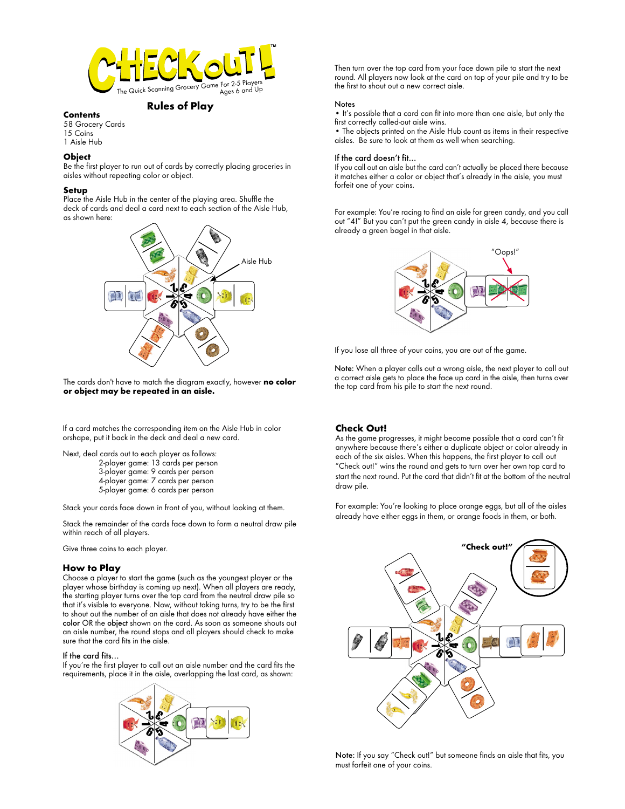

# **Rules of Play Contents**

58 Grocery Cards 15 Coins 1 Aisle Hub

## **Object**

Be the first player to run out of cards by correctly placing groceries in aisles without repeating color or object.

#### **Setup**

Place the Aisle Hub in the center of the playing area. Shuffle the deck of cards and deal a card next to each section of the Aisle Hub, as shown here:



The cards don't have to match the diagram exactly, however **no color or object may be repeated in an aisle.**

If a card matches the corresponding item on the Aisle Hub in color orshape, put it back in the deck and deal a new card.

Next, deal cards out to each player as follows: 2-player game: 13 cards per person 3-player game: 9 cards per person 4-player game: 7 cards per person

5-player game: 6 cards per person

Stack your cards face down in front of you, without looking at them.

Stack the remainder of the cards face down to form a neutral draw pile within reach of all players.

Give three coins to each player.

# **How to Play**

Choose a player to start the game (such as the youngest player or the player whose birthday is coming up next). When all players are ready, the starting player turns over the top card from the neutral draw pile so that it's visible to everyone. Now, without taking turns, try to be the first to shout out the number of an aisle that does not already have either the color OR the object shown on the card. As soon as someone shouts out an aisle number, the round stops and all players should check to make sure that the card fits in the aisle.

# If the card fits…

If you're the first player to call out an aisle number and the card fits the requirements, place it in the aisle, overlapping the last card, as shown:



Then turn over the top card from your face down pile to start the next round. All players now look at the card on top of your pile and try to be the first to shout out a new correct aisle.

#### **Notes**

• It's possible that a card can fit into more than one aisle, but only the first correctly called-out aisle wins.

• The objects printed on the Aisle Hub count as items in their respective aisles. Be sure to look at them as well when searching.

#### If the card doesn't fit…

If you call out an aisle but the card can't actually be placed there because it matches either a color or object that's already in the aisle, you must forfeit one of your coins.

For example: You're racing to find an aisle for green candy, and you call out "4!" But you can't put the green candy in aisle 4, because there is already a green bagel in that aisle.



If you lose all three of your coins, you are out of the game.

Note: When a player calls out a wrong aisle, the next player to call out a correct aisle gets to place the face up card in the aisle, then turns over the top card from his pile to start the next round.

# **Check Out!**

As the game progresses, it might become possible that a card can't fit anywhere because there's either a duplicate object or color already in each of the six aisles. When this happens, the first player to call out "Check out!" wins the round and gets to turn over her own top card to start the next round. Put the card that didn't fit at the bottom of the neutral draw pile.

For example: You're looking to place orange eggs, but all of the aisles already have either eggs in them, or orange foods in them, or both.



Note: If you say "Check out!" but someone finds an aisle that fits, you must forfeit one of your coins.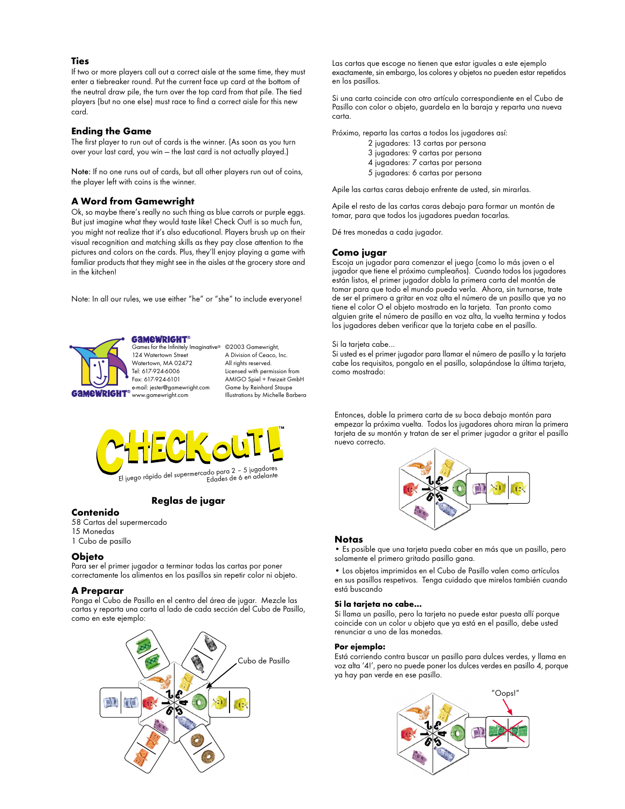# **Ties**

If two or more players call out a correct aisle at the same time, they must enter a tiebreaker round. Put the current face up card at the bottom of the neutral draw pile, the turn over the top card from that pile. The tied players (but no one else) must race to find a correct aisle for this new card.

### **Ending the Game**

The first player to run out of cards is the winner. (As soon as you turn over your last card, you win — the last card is not actually played.)

Note: If no one runs out of cards, but all other players run out of coins, the player left with coins is the winner.

# **A Word from Gamewright**

Ok, so maybe there's really no such thing as blue carrots or purple eggs. But just imagine what they would taste like! Check Out! is so much fun, you might not realize that it's also educational. Players brush up on their visual recognition and matching skills as they pay close attention to the pictures and colors on the cards. Plus, they'll enjoy playing a game with familiar products that they might see in the aisles at the grocery store and in the kitchen!

Note: In all our rules, we use either "he" or "she" to include everyone!

amewright® Games for the Infinitely Imaginative® ©2003 Gamewright, 124 Watertown Street Watertown, MA 02472 Tel: 617-924-6006 Fax: 617-924-6101 e-mail: jester@gamewright.com www.gamewright.com

A Division of Ceaco, Inc. All rights reserved. Licensed with permission from AMIGO Spiel + Freizeit GmbH Game by Reinhard Staupe Illustrations by Michelle Barbera



# **Reglas de jugar**

# **Contenido**

58 Cartas del supermercado 15 Monedas 1 Cubo de pasillo

#### **Objeto**

Para ser el primer jugador a terminar todas las cartas por poner correctamente los alimentos en los pasillos sin repetir color ni objeto.

#### **A Preparar**

Ponga el Cubo de Pasillo en el centro del área de jugar. Mezcle las cartas y reparta una carta al lado de cada sección del Cubo de Pasillo, como en este ejemplo:



Las cartas que escoge no tienen que estar iguales a este ejemplo exactamente, sin embargo, los colores y objetos no pueden estar repetidos en los pasillos.

Si una carta coincide con otro artículo correspondiente en el Cubo de Pasillo con color o objeto, guardela en la baraja y reparta una nueva carta.

Próximo, reparta las cartas a todos los jugadores así:

- 2 jugadores: 13 cartas por persona
- 3 jugadores: 9 cartas por persona
- 4 jugadores: 7 cartas por persona
- 5 jugadores: 6 cartas por persona

Apile las cartas caras debajo enfrente de usted, sin mirarlas.

Apile el resto de las cartas caras debajo para formar un montón de tomar, para que todos los jugadores puedan tocarlas.

Dé tres monedas a cada jugador.

#### **Como jugar**

Escoja un jugador para comenzar el juego (como lo más joven o el jugador que tiene el próximo cumpleaños). Cuando todos los jugadores están listos, el primer jugador dobla la primera carta del montón de tomar para que todo el mundo pueda verla. Ahora, sin turnarse, trate de ser el primero a gritar en voz alta el número de un pasillo que ya no tiene el color O el objeto mostrado en la tarjeta. Tan pronto como alguien grite el número de pasillo en voz alta, la vuelta termina y todos los jugadores deben verificar que la tarjeta cabe en el pasillo.

#### Si la tarjeta cabe…

Si usted es el primer jugador para llamar el número de pasillo y la tarjeta cabe los requisitos, pongalo en el pasillo, solapándose la última tarjeta, como mostrado:

Entonces, doble la primera carta de su boca debajo montón para empezar la próxima vuelta. Todos los jugadores ahora miran la primera tarjeta de su montón y tratan de ser el primer jugador a gritar el pasillo nuevo correcto.



#### **Notas**

• Es posible que una tarjeta pueda caber en más que un pasillo, pero solamente el primero gritado pasillo gana.

• Los objetos imprimidos en el Cubo de Pasillo valen como artículos en sus pasillos respetivos. Tenga cuidado que mirelos también cuando está buscando

#### **Si la tarjeta no cabe…**

Si llama un pasillo, pero la tarjeta no puede estar puesta allí porque coincide con un color u objeto que ya está en el pasillo, debe usted renunciar a uno de las monedas.

#### **Por ejemplo:**

Está corriendo contra buscar un pasillo para dulces verdes, y llama en voz alta '4!', pero no puede poner los dulces verdes en pasillo 4, porque ya hay pan verde en ese pasillo.

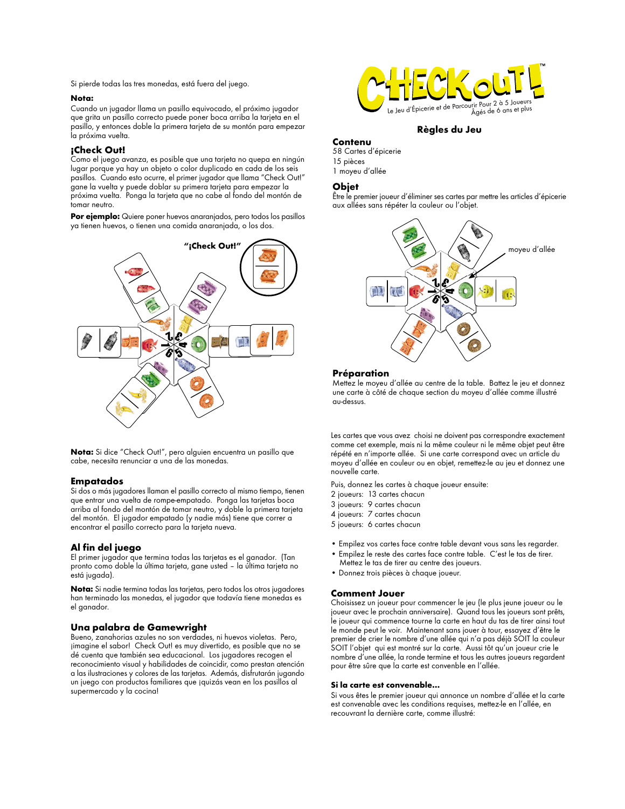Si pierde todas las tres monedas, está fuera del juego.

#### **Nota:**

Cuando un jugador llama un pasillo equivocado, el próximo jugador que grita un pasillo correcto puede poner boca arriba la tarjeta en el pasillo, y entonces doble la primera tarjeta de su montón para empezar la próxima vuelta.

# **¡Check Out!**

Como el juego avanza, es posible que una tarjeta no quepa en ningún lugar porque ya hay un objeto o color duplicado en cada de los seis pasillos. Cuando esto ocurre, el primer jugador que llama "Check Out!" gane la vuelta y puede doblar su primera tarjeta para empezar la próxima vuelta. Ponga la tarjeta que no cabe al fondo del montón de tomar neutro.

**Por ejemplo:** Quiere poner huevos anaranjados, pero todos los pasillos ya tienen huevos, o tienen una comida anaranjada, o los dos.



**Nota:** Si dice "Check Out!", pero alguien encuentra un pasillo que cabe, necesita renunciar a una de las monedas.

#### **Empatados**

Si dos o más jugadores llaman el pasillo correcto al mismo tiempo, tienen que entrar una vuelta de rompe-empatado. Ponga las tarjetas boca arriba al fondo del montón de tomar neutro, y doble la primera tarjeta del montón. El jugador empatado (y nadie más) tiene que correr a encontrar el pasillo correcto para la tarjeta nueva.

# **Al fin del juego**

El primer jugador que termina todas las tarjetas es el ganador. (Tan pronto como doble la última tarjeta, gane usted – la última tarjeta no está jugada).

**Nota:** Si nadie termina todas las tarjetas, pero todos los otros jugadores han terminado las monedas, el jugador que todavía tiene monedas es el ganador.

#### **Una palabra de Gamewright**

Bueno, zanahorias azules no son verdades, ni huevos violetas. Pero, ¡imagine el sabor! Check Out! es muy divertido, es posible que no se dé cuenta que también sea educacional. Los jugadores recogen el reconocimiento visual y habilidades de coincidir, como prestan atención a las ilustraciones y colores de las tarjetas. Además, disfrutarán jugando un juego con productos familiares que ¡quizás vean en los pasillos al supermercado y la cocina!



# **Règles du Jeu**

# **Contenu**

58 Cartes d'épicerie 15 pièces 1 moyeu d'allée

# **Objet**

Être le premier joueur d'éliminer ses cartes par mettre les articles d'épicerie aux allées sans répéter la couleur ou l'objet.



#### **Préparation**

Mettez le moyeu d'allée au centre de la table. Battez le jeu et donnez une carte à côté de chaque section du moyeu d'allée comme illustré au-dessus.

Les cartes que vous avez choisi ne doivent pas correspondre exactement comme cet exemple, mais ni la même couleur ni le même objet peut être répété en n'importe allée. Si une carte correspond avec un article du moyeu d'allée en couleur ou en objet, remettez-le au jeu et donnez une nouvelle carte.

Puis, donnez les cartes à chaque joueur ensuite:

- 2 joueurs: 13 cartes chacun
- 3 joueurs: 9 cartes chacun
- 4 joueurs: 7 cartes chacun
- 5 joueurs: 6 cartes chacun
- Empilez vos cartes face contre table devant vous sans les regarder.
- Empilez le reste des cartes face contre table. C'est le tas de tirer. Mettez le tas de tirer au centre des joueurs.
- Donnez trois pièces à chaque joueur.

#### **Comment Jouer**

Choisissez un joueur pour commencer le jeu (le plus jeune joueur ou le joueur avec le prochain anniversaire). Quand tous les joueurs sont prêts, le joueur qui commence tourne la carte en haut du tas de tirer ainsi tout le monde peut le voir. Maintenant sans jouer à tour, essayez d'être le premier de crier le nombre d'une allée qui n'a pas déjà SOIT la couleur SOIT l'objet qui est montré sur la carte. Aussi tôt qu'un joueur crie le nombre d'une allée, la ronde termine et tous les autres joueurs regardent pour être sûre que la carte est convenble en l'allée.

### **Si la carte est convenable…**

Si vous êtes le premier joueur qui annonce un nombre d'allée et la carte est convenable avec les conditions requises, mettez-le en l'allée, en recouvrant la dernière carte, comme illustré: